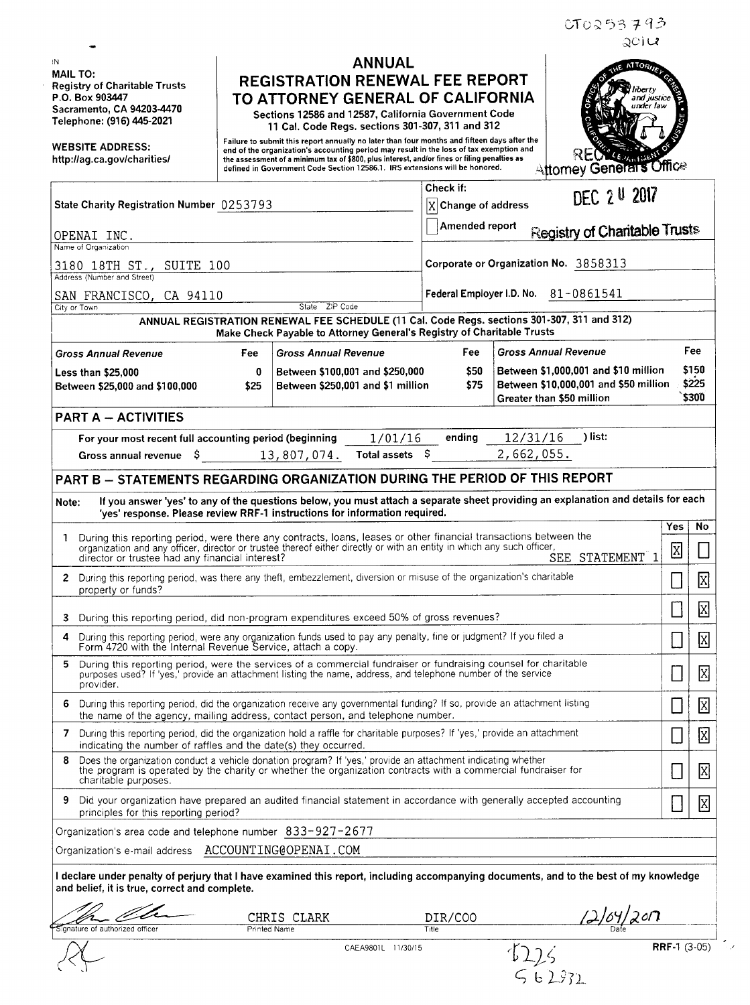IN MAIL TO: Registry of Charitable Trusts P.O. Box 903447 Sacramento, CA 94203-4470 Telephone: (916) 445-2021

-

WEBSITE ADDRESS: http://ag.ca.gov/charities/

 $\le$   $\downarrow$ 

## ANNUAL REGISTRATION RENEWAL FEE REPORT TO ATTORNEY GENERAL OF CALIFORNIA

Sections 12586 and 12587, California Government Code 11 Cal. Code Regs. sections 301-307, 311 and 312

Failure to submit this report annually no later than four months and fifteen days after the end of the organization's accounting period may result in the loss of tax exemption and<br>the assessment of a minimum tax of \$800, plus interest, and/or fines or filing penalties as<br>defined in Government Code Section 12586



CT0253793

| State Charity Registration Number 0253793                                                                                                                             |                                                                                                                                                                                                                                                                                                |              |                                                                                      |                    | Check if:<br>DEC 2 U 2017<br>$\overline{X}$ Change of address |                                                                                                            |                                      |                                |                               |
|-----------------------------------------------------------------------------------------------------------------------------------------------------------------------|------------------------------------------------------------------------------------------------------------------------------------------------------------------------------------------------------------------------------------------------------------------------------------------------|--------------|--------------------------------------------------------------------------------------|--------------------|---------------------------------------------------------------|------------------------------------------------------------------------------------------------------------|--------------------------------------|--------------------------------|-------------------------------|
|                                                                                                                                                                       | OPENAI INC.                                                                                                                                                                                                                                                                                    |              |                                                                                      |                    | Amended report                                                |                                                                                                            | <b>Registry of Charitable Trusts</b> |                                |                               |
| Name of Organization                                                                                                                                                  |                                                                                                                                                                                                                                                                                                |              |                                                                                      |                    |                                                               |                                                                                                            |                                      |                                |                               |
| 3180 18TH ST., SUITE 100<br>Address (Number and Street)                                                                                                               |                                                                                                                                                                                                                                                                                                |              |                                                                                      |                    | Corporate or Organization No. 3858313                         |                                                                                                            |                                      |                                |                               |
| SAN FRANCISCO, CA 94110<br>State ZIP Code<br>City or Town                                                                                                             |                                                                                                                                                                                                                                                                                                |              |                                                                                      |                    | Federal Employer I.D. No. 81-0861541                          |                                                                                                            |                                      |                                |                               |
|                                                                                                                                                                       |                                                                                                                                                                                                                                                                                                |              |                                                                                      |                    |                                                               |                                                                                                            |                                      |                                |                               |
| ANNUAL REGISTRATION RENEWAL FEE SCHEDULE (11 Cal. Code Regs. sections 301-307, 311 and 312)<br>Make Check Payable to Attorney General's Registry of Charitable Trusts |                                                                                                                                                                                                                                                                                                |              |                                                                                      |                    |                                                               |                                                                                                            |                                      |                                |                               |
| Fee:<br><b>Gross Annual Revenue</b><br><b>Gross Annual Revenue</b>                                                                                                    |                                                                                                                                                                                                                                                                                                |              |                                                                                      |                    | Fee<br><b>Gross Annual Revenue</b><br>Fee                     |                                                                                                            |                                      |                                |                               |
| $\mathbf 0$<br><b>Less than \$25,000</b><br>Between \$25,000 and \$100,000<br>\$25                                                                                    |                                                                                                                                                                                                                                                                                                |              | \$50<br>Between \$100,001 and \$250,000<br>\$75<br>Between \$250,001 and \$1 million |                    |                                                               | Between \$1,000,001 and \$10 million<br>Between \$10,000,001 and \$50 million<br>Greater than \$50 million |                                      |                                | \$150<br>\$225<br>\$300       |
| <b>PART A - ACTIVITIES</b>                                                                                                                                            |                                                                                                                                                                                                                                                                                                |              |                                                                                      |                    |                                                               |                                                                                                            |                                      |                                |                               |
| 12/31/16<br>)list:<br>1/01/16<br>For your most recent full accounting period (beginning<br>ending                                                                     |                                                                                                                                                                                                                                                                                                |              |                                                                                      |                    |                                                               |                                                                                                            |                                      |                                |                               |
|                                                                                                                                                                       | Gross annual revenue $\,$ \$ 13,807,074.                                                                                                                                                                                                                                                       |              |                                                                                      | Total assets $$$   |                                                               | 2,662,055.                                                                                                 |                                      |                                |                               |
| PART B - STATEMENTS REGARDING ORGANIZATION DURING THE PERIOD OF THIS REPORT                                                                                           |                                                                                                                                                                                                                                                                                                |              |                                                                                      |                    |                                                               |                                                                                                            |                                      |                                |                               |
| If you answer 'yes' to any of the questions below, you must attach a separate sheet providing an explanation and details for each<br>Note:                            |                                                                                                                                                                                                                                                                                                |              |                                                                                      |                    |                                                               |                                                                                                            |                                      |                                |                               |
|                                                                                                                                                                       | 'yes' response. Please review RRF-1 instructions for information required.                                                                                                                                                                                                                     |              |                                                                                      |                    |                                                               |                                                                                                            |                                      |                                |                               |
| 1                                                                                                                                                                     | During this reporting period, were there any contracts, loans, leases or other financial transactions between the<br>organization and any officer, director or trustee thereof either directly or with an entity in which any such officer,<br>director or trustee had any financial interest? |              |                                                                                      |                    |                                                               |                                                                                                            | SEE STATEMENT 1                      | Yes<br>$\overline{\mathbf{x}}$ | No<br>$\Box$                  |
| 2                                                                                                                                                                     | During this reporting period, was there any theft, embezzlement, diversion or misuse of the organization's charitable<br>property or funds?                                                                                                                                                    |              |                                                                                      |                    |                                                               |                                                                                                            |                                      | $\Box$                         | $\boxtimes$                   |
| 3                                                                                                                                                                     | During this reporting period, did non-program expenditures exceed 50% of gross revenues?                                                                                                                                                                                                       |              |                                                                                      |                    |                                                               |                                                                                                            |                                      | $\mathsf{I}$                   | $\boxtimes$                   |
| 4                                                                                                                                                                     | During this reporting period, were any organization funds used to pay any penalty, fine or judgment? If you filed a<br>Form 4720 with the Internal Revenue Service, attach a copy.                                                                                                             |              |                                                                                      |                    |                                                               |                                                                                                            |                                      | $\overline{\phantom{a}}$       | $\boxed{\text{X}}$            |
| 5                                                                                                                                                                     | During this reporting period, were the services of a commercial fundraiser or fundraising counsel for charitable<br>purposes used? If 'yes,' provide an attachment listing the name, address, and telephone number of the service<br>provider.                                                 |              |                                                                                      |                    |                                                               |                                                                                                            |                                      |                                | ⊠<br>$\overline{\phantom{a}}$ |
| 6                                                                                                                                                                     | During this reporting period, did the organization receive any governmental funding? If so, provide an attachment listing<br>the name of the agency, mailing address, contact person, and telephone number.                                                                                    |              |                                                                                      |                    |                                                               |                                                                                                            |                                      |                                | ⊠<br>$\mathbb{R}^2$           |
| 7                                                                                                                                                                     | During this reporting period, did the organization hold a raffle for charitable purposes? If 'yes,' provide an attachment<br>indicating the number of raffles and the date(s) they occurred                                                                                                    |              |                                                                                      |                    |                                                               |                                                                                                            |                                      |                                | ⊠                             |
| 8                                                                                                                                                                     | Does the organization conduct a vehicle donation program? If 'yes,' provide an attachment indicating whether<br>the program is operated by the charity or whether the organization contracts with a commercial fundraiser for<br>charitable purposes.                                          |              |                                                                                      |                    |                                                               |                                                                                                            |                                      |                                | $\overline{\mathrm{X}}$       |
| 9                                                                                                                                                                     | Did your organization have prepared an audited financial statement in accordance with generally accepted accounting<br>principles for this reporting period?                                                                                                                                   |              |                                                                                      |                    |                                                               |                                                                                                            |                                      |                                | $\mathbf{X}$                  |
|                                                                                                                                                                       | Organization's area code and telephone number 833-927-2677                                                                                                                                                                                                                                     |              |                                                                                      |                    |                                                               |                                                                                                            |                                      |                                |                               |
|                                                                                                                                                                       | Organization's e-mail address    ACCOUNTING@OPENAI.COM                                                                                                                                                                                                                                         |              |                                                                                      |                    |                                                               |                                                                                                            |                                      |                                |                               |
|                                                                                                                                                                       | I declare under penalty of perjury that I have examined this report, including accompanying documents, and to the best of my knowledge<br>and belief, it is true, correct and complete.                                                                                                        |              |                                                                                      |                    |                                                               |                                                                                                            |                                      |                                |                               |
|                                                                                                                                                                       |                                                                                                                                                                                                                                                                                                | CHRIS        | CLARK                                                                                |                    | DIR/COO                                                       |                                                                                                            |                                      | 20 <sup>7</sup>                |                               |
|                                                                                                                                                                       | ignature of authorized officer                                                                                                                                                                                                                                                                 | Printed Name |                                                                                      |                    | Title                                                         |                                                                                                            |                                      |                                |                               |
|                                                                                                                                                                       |                                                                                                                                                                                                                                                                                                |              |                                                                                      | CAEA9801L 11/30/15 |                                                               |                                                                                                            |                                      |                                | <b>RRF-1</b> $(3-05)$         |

 $562932$ 

 $\overline{ }$